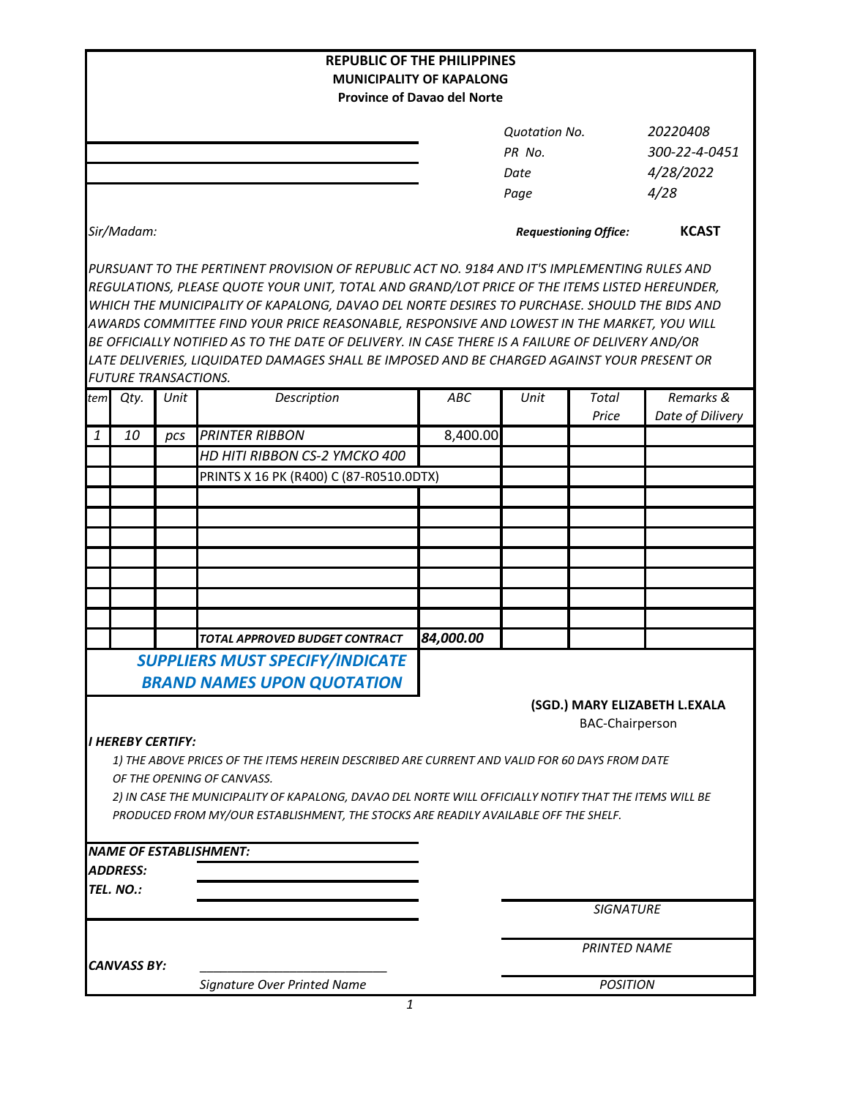|                                                   |                                     |      | <b>REPUBLIC OF THE PHILIPPINES</b>                                                                                                                                                                                                                                                                                                                                                                                                                                                                                                                                                             |                                                                       |                              |                                                |                               |
|---------------------------------------------------|-------------------------------------|------|------------------------------------------------------------------------------------------------------------------------------------------------------------------------------------------------------------------------------------------------------------------------------------------------------------------------------------------------------------------------------------------------------------------------------------------------------------------------------------------------------------------------------------------------------------------------------------------------|-----------------------------------------------------------------------|------------------------------|------------------------------------------------|-------------------------------|
|                                                   |                                     |      |                                                                                                                                                                                                                                                                                                                                                                                                                                                                                                                                                                                                | <b>MUNICIPALITY OF KAPALONG</b><br><b>Province of Davao del Norte</b> |                              |                                                |                               |
|                                                   |                                     |      |                                                                                                                                                                                                                                                                                                                                                                                                                                                                                                                                                                                                | <b>Ouotation No.</b><br>PR No.<br>Date<br>Page                        |                              | 20220408<br>300-22-4-0451<br>4/28/2022<br>4/28 |                               |
| Sir/Madam:                                        |                                     |      |                                                                                                                                                                                                                                                                                                                                                                                                                                                                                                                                                                                                |                                                                       | <b>Requestioning Office:</b> |                                                | <b>KCAST</b>                  |
|                                                   | <b>FUTURE TRANSACTIONS.</b>         |      | PURSUANT TO THE PERTINENT PROVISION OF REPUBLIC ACT NO. 9184 AND IT'S IMPLEMENTING RULES AND<br>REGULATIONS, PLEASE QUOTE YOUR UNIT, TOTAL AND GRAND/LOT PRICE OF THE ITEMS LISTED HEREUNDER,<br>WHICH THE MUNICIPALITY OF KAPALONG, DAVAO DEL NORTE DESIRES TO PURCHASE. SHOULD THE BIDS AND<br>AWARDS COMMITTEE FIND YOUR PRICE REASONABLE, RESPONSIVE AND LOWEST IN THE MARKET, YOU WILL<br>BE OFFICIALLY NOTIFIED AS TO THE DATE OF DELIVERY. IN CASE THERE IS A FAILURE OF DELIVERY AND/OR<br>LATE DELIVERIES, LIQUIDATED DAMAGES SHALL BE IMPOSED AND BE CHARGED AGAINST YOUR PRESENT OR |                                                                       |                              |                                                |                               |
| tem                                               | Qty.                                | Unit | Description                                                                                                                                                                                                                                                                                                                                                                                                                                                                                                                                                                                    | ABC                                                                   | Unit                         | <b>Total</b><br>Price                          | Remarks &<br>Date of Dilivery |
| $\mathbf{1}$                                      | 10                                  | pcs  | <b>PRINTER RIBBON</b><br>HD HITI RIBBON CS-2 YMCKO 400<br>PRINTS X 16 PK (R400) C (87-R0510.0DTX)                                                                                                                                                                                                                                                                                                                                                                                                                                                                                              | 8,400.00                                                              |                              |                                                |                               |
|                                                   |                                     |      |                                                                                                                                                                                                                                                                                                                                                                                                                                                                                                                                                                                                |                                                                       |                              |                                                |                               |
|                                                   |                                     |      | TOTAL APPROVED BUDGET CONTRACT                                                                                                                                                                                                                                                                                                                                                                                                                                                                                                                                                                 | 84,000.00                                                             |                              |                                                |                               |
|                                                   | I HEREBY CERTIFY:                   |      | <b>SUPPLIERS MUST SPECIFY/INDICATE</b><br><b>BRAND NAMES UPON QUOTATION</b>                                                                                                                                                                                                                                                                                                                                                                                                                                                                                                                    |                                                                       |                              | <b>BAC-Chairperson</b>                         | (SGD.) MARY ELIZABETH L.EXALA |
|                                                   |                                     |      | 1) THE ABOVE PRICES OF THE ITEMS HEREIN DESCRIBED ARE CURRENT AND VALID FOR 60 DAYS FROM DATE<br>OF THE OPENING OF CANVASS.<br>2) IN CASE THE MUNICIPALITY OF KAPALONG, DAVAO DEL NORTE WILL OFFICIALLY NOTIFY THAT THE ITEMS WILL BE<br>PRODUCED FROM MY/OUR ESTABLISHMENT, THE STOCKS ARE READILY AVAILABLE OFF THE SHELF.                                                                                                                                                                                                                                                                   |                                                                       |                              |                                                |                               |
|                                                   | <i><b>ADDRESS:</b></i><br>TEL. NO.: |      | <b>NAME OF ESTABLISHMENT:</b>                                                                                                                                                                                                                                                                                                                                                                                                                                                                                                                                                                  |                                                                       |                              |                                                |                               |
|                                                   |                                     |      |                                                                                                                                                                                                                                                                                                                                                                                                                                                                                                                                                                                                |                                                                       |                              | <b>SIGNATURE</b><br><b>PRINTED NAME</b>        |                               |
| <b>CANVASS BY:</b><br>Signature Over Printed Name |                                     |      |                                                                                                                                                                                                                                                                                                                                                                                                                                                                                                                                                                                                | <b>POSITION</b>                                                       |                              |                                                |                               |